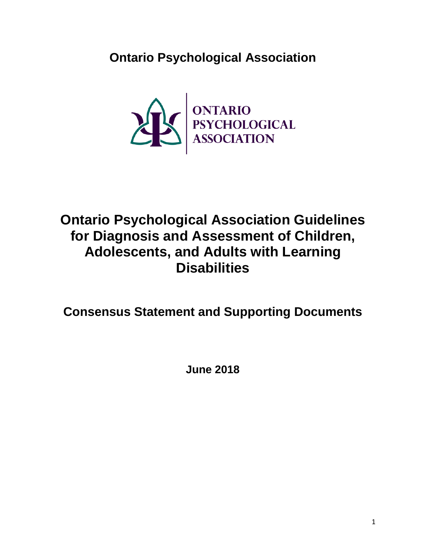**Ontario Psychological Association**



# **Ontario Psychological Association Guidelines for Diagnosis and Assessment of Children, Adolescents, and Adults with Learning Disabilities**

**Consensus Statement and Supporting Documents**

**June 2018**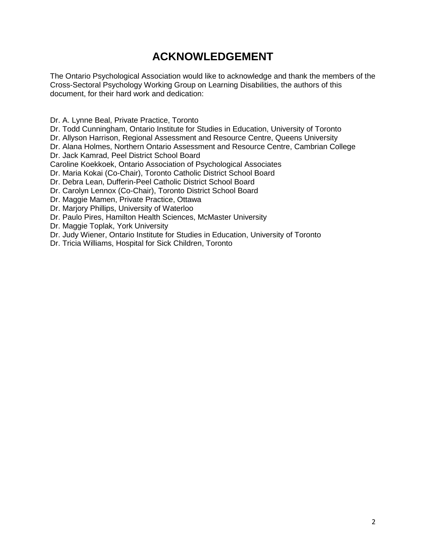## **ACKNOWLEDGEMENT**

The Ontario Psychological Association would like to acknowledge and thank the members of the Cross-Sectoral Psychology Working Group on Learning Disabilities, the authors of this document, for their hard work and dedication:

Dr. A. Lynne Beal, Private Practice, Toronto

Dr. Todd Cunningham, Ontario Institute for Studies in Education, University of Toronto

Dr. Allyson Harrison, Regional Assessment and Resource Centre, Queens University

Dr. Alana Holmes, Northern Ontario Assessment and Resource Centre, Cambrian College

Dr. Jack Kamrad, Peel District School Board

Caroline Koekkoek, Ontario Association of Psychological Associates

Dr. Maria Kokai (Co-Chair), Toronto Catholic District School Board

Dr. Debra Lean, Dufferin-Peel Catholic District School Board

Dr. Carolyn Lennox (Co-Chair), Toronto District School Board

Dr. Maggie Mamen, Private Practice, Ottawa

Dr. Marjory Phillips, University of Waterloo

- Dr. Paulo Pires, Hamilton Health Sciences, McMaster University
- Dr. Maggie Toplak, York University
- Dr. Judy Wiener, Ontario Institute for Studies in Education, University of Toronto
- Dr. Tricia Williams, Hospital for Sick Children, Toronto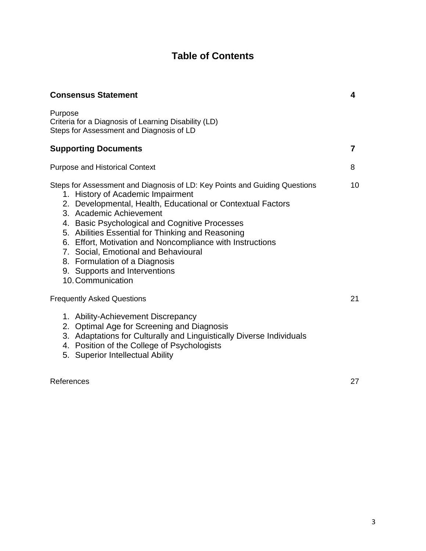## **Table of Contents**

| <b>Consensus Statement</b>                                                                                                                                                                                                                                                                                                                                                                                                                                                                                   | 4  |
|--------------------------------------------------------------------------------------------------------------------------------------------------------------------------------------------------------------------------------------------------------------------------------------------------------------------------------------------------------------------------------------------------------------------------------------------------------------------------------------------------------------|----|
| Purpose<br>Criteria for a Diagnosis of Learning Disability (LD)<br>Steps for Assessment and Diagnosis of LD                                                                                                                                                                                                                                                                                                                                                                                                  |    |
| <b>Supporting Documents</b>                                                                                                                                                                                                                                                                                                                                                                                                                                                                                  | 7  |
| <b>Purpose and Historical Context</b>                                                                                                                                                                                                                                                                                                                                                                                                                                                                        | 8  |
| Steps for Assessment and Diagnosis of LD: Key Points and Guiding Questions<br>1. History of Academic Impairment<br>2. Developmental, Health, Educational or Contextual Factors<br>3. Academic Achievement<br>4. Basic Psychological and Cognitive Processes<br>5. Abilities Essential for Thinking and Reasoning<br>6. Effort, Motivation and Noncompliance with Instructions<br>7. Social, Emotional and Behavioural<br>8. Formulation of a Diagnosis<br>9. Supports and Interventions<br>10. Communication | 10 |
| <b>Frequently Asked Questions</b>                                                                                                                                                                                                                                                                                                                                                                                                                                                                            | 21 |
| 1. Ability-Achievement Discrepancy<br>2. Optimal Age for Screening and Diagnosis<br>3. Adaptations for Culturally and Linguistically Diverse Individuals<br>4. Position of the College of Psychologists<br><b>Superior Intellectual Ability</b><br>5.                                                                                                                                                                                                                                                        |    |

References 27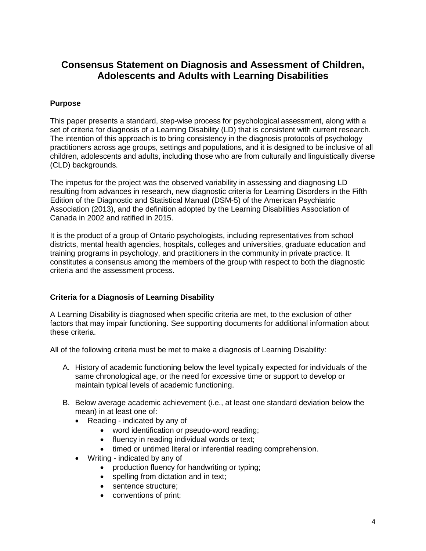## **Consensus Statement on Diagnosis and Assessment of Children, Adolescents and Adults with Learning Disabilities**

#### **Purpose**

This paper presents a standard, step-wise process for psychological assessment, along with a set of criteria for diagnosis of a Learning Disability (LD) that is consistent with current research. The intention of this approach is to bring consistency in the diagnosis protocols of psychology practitioners across age groups, settings and populations, and it is designed to be inclusive of all children, adolescents and adults, including those who are from culturally and linguistically diverse (CLD) backgrounds.

The impetus for the project was the observed variability in assessing and diagnosing LD resulting from advances in research, new diagnostic criteria for Learning Disorders in the Fifth Edition of the Diagnostic and Statistical Manual (DSM-5) of the American Psychiatric Association (2013), and the definition adopted by the Learning Disabilities Association of Canada in 2002 and ratified in 2015.

It is the product of a group of Ontario psychologists, including representatives from school districts, mental health agencies, hospitals, colleges and universities, graduate education and training programs in psychology, and practitioners in the community in private practice. It constitutes a consensus among the members of the group with respect to both the diagnostic criteria and the assessment process.

## **Criteria for a Diagnosis of Learning Disability**

A Learning Disability is diagnosed when specific criteria are met, to the exclusion of other factors that may impair functioning. See supporting documents for additional information about these criteria.

All of the following criteria must be met to make a diagnosis of Learning Disability:

- A. History of academic functioning below the level typically expected for individuals of the same chronological age, or the need for excessive time or support to develop or maintain typical levels of academic functioning.
- B. Below average academic achievement (i.e., at least one standard deviation below the mean) in at least one of:
	- Reading indicated by any of
		- word identification or pseudo-word reading;
		- fluency in reading individual words or text;
		- timed or untimed literal or inferential reading comprehension.
	- Writing indicated by any of
		- production fluency for handwriting or typing;
		- spelling from dictation and in text;
		- sentence structure;
		- conventions of print;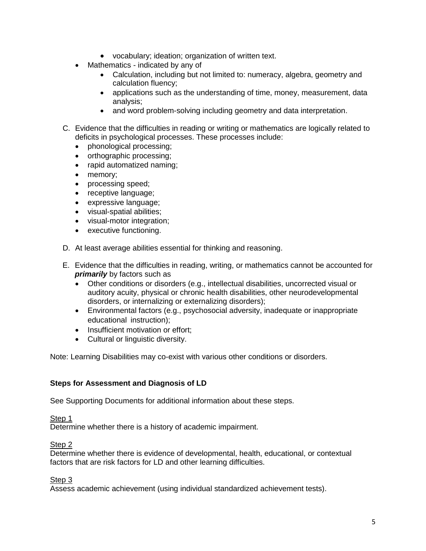- vocabulary; ideation; organization of written text.
- Mathematics indicated by any of
	- Calculation, including but not limited to: numeracy, algebra, geometry and calculation fluency;
	- applications such as the understanding of time, money, measurement, data analysis;
	- and word problem-solving including geometry and data interpretation.
- C. Evidence that the difficulties in reading or writing or mathematics are logically related to deficits in psychological processes. These processes include:
	- phonological processing;
	- orthographic processing;
	- rapid automatized naming;
	- memory;
	- processing speed;
	- receptive language;
	- expressive language;
	- visual-spatial abilities;
	- visual-motor integration;
	- executive functioning.
- D. At least average abilities essential for thinking and reasoning.
- E. Evidence that the difficulties in reading, writing, or mathematics cannot be accounted for *primarily* by factors such as
	- Other conditions or disorders (e.g., intellectual disabilities, uncorrected visual or auditory acuity, physical or chronic health disabilities, other neurodevelopmental disorders, or internalizing or externalizing disorders);
	- Environmental factors (e.g., psychosocial adversity, inadequate or inappropriate educational instruction);
	- Insufficient motivation or effort;
	- Cultural or linguistic diversity.

Note: Learning Disabilities may co-exist with various other conditions or disorders.

#### **Steps for Assessment and Diagnosis of LD**

See Supporting Documents for additional information about these steps.

#### Step 1

Determine whether there is a history of academic impairment.

#### Step 2

Determine whether there is evidence of developmental, health, educational, or contextual factors that are risk factors for LD and other learning difficulties.

#### Step 3

Assess academic achievement (using individual standardized achievement tests).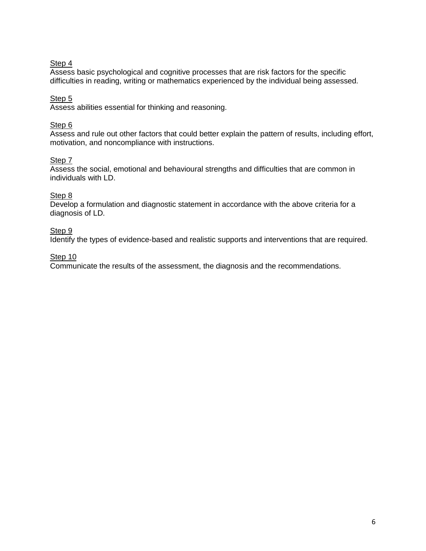#### Step 4

Assess basic psychological and cognitive processes that are risk factors for the specific difficulties in reading, writing or mathematics experienced by the individual being assessed.

#### Step 5

Assess abilities essential for thinking and reasoning.

#### Step 6

Assess and rule out other factors that could better explain the pattern of results, including effort, motivation, and noncompliance with instructions.

### Step 7

Assess the social, emotional and behavioural strengths and difficulties that are common in individuals with LD.

### Step 8

Develop a formulation and diagnostic statement in accordance with the above criteria for a diagnosis of LD.

### Step 9

Identify the types of evidence-based and realistic supports and interventions that are required.

#### Step 10

Communicate the results of the assessment, the diagnosis and the recommendations.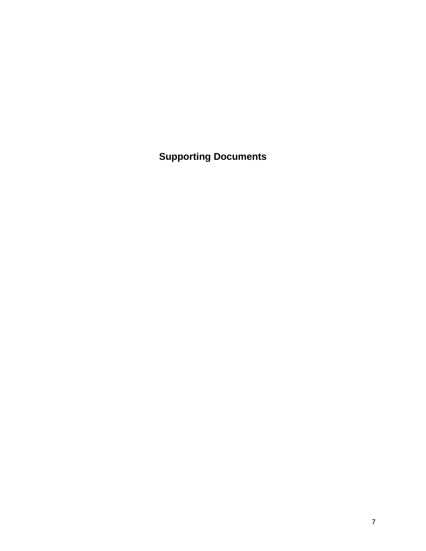**Supporting Documents**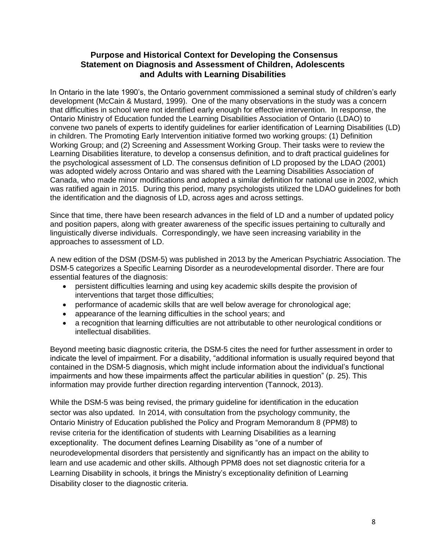## **Purpose and Historical Context for Developing the Consensus Statement on Diagnosis and Assessment of Children, Adolescents and Adults with Learning Disabilities**

In Ontario in the late 1990's, the Ontario government commissioned a seminal study of children's early development (McCain & Mustard, 1999). One of the many observations in the study was a concern that difficulties in school were not identified early enough for effective intervention. In response, the Ontario Ministry of Education funded the Learning Disabilities Association of Ontario (LDAO) to convene two panels of experts to identify guidelines for earlier identification of Learning Disabilities (LD) in children. The Promoting Early Intervention initiative formed two working groups: (1) Definition Working Group; and (2) Screening and Assessment Working Group. Their tasks were to review the Learning Disabilities literature, to develop a consensus definition, and to draft practical guidelines for the psychological assessment of LD. The consensus definition of LD proposed by the LDAO (2001) was adopted widely across Ontario and was shared with the Learning Disabilities Association of Canada, who made minor modifications and adopted a similar definition for national use in 2002, which was ratified again in 2015. During this period, many psychologists utilized the LDAO guidelines for both the identification and the diagnosis of LD, across ages and across settings.

Since that time, there have been research advances in the field of LD and a number of updated policy and position papers, along with greater awareness of the specific issues pertaining to culturally and linguistically diverse individuals. Correspondingly, we have seen increasing variability in the approaches to assessment of LD.

A new edition of the DSM (DSM-5) was published in 2013 by the American Psychiatric Association. The DSM-5 categorizes a Specific Learning Disorder as a neurodevelopmental disorder. There are four essential features of the diagnosis:

- persistent difficulties learning and using key academic skills despite the provision of interventions that target those difficulties;
- performance of academic skills that are well below average for chronological age;
- appearance of the learning difficulties in the school years; and
- a recognition that learning difficulties are not attributable to other neurological conditions or intellectual disabilities.

Beyond meeting basic diagnostic criteria, the DSM-5 cites the need for further assessment in order to indicate the level of impairment. For a disability, "additional information is usually required beyond that contained in the DSM-5 diagnosis, which might include information about the individual's functional impairments and how these impairments affect the particular abilities in question" (p. 25). This information may provide further direction regarding intervention (Tannock, 2013).

While the DSM-5 was being revised, the primary guideline for identification in the education sector was also updated. In 2014, with consultation from the psychology community, the Ontario Ministry of Education published the Policy and Program Memorandum 8 (PPM8) to revise criteria for the identification of students with Learning Disabilities as a learning exceptionality. The document defines Learning Disability as "one of a number of neurodevelopmental disorders that persistently and significantly has an impact on the ability to learn and use academic and other skills. Although PPM8 does not set diagnostic criteria for a Learning Disability in schools, it brings the Ministry's exceptionality definition of Learning Disability closer to the diagnostic criteria.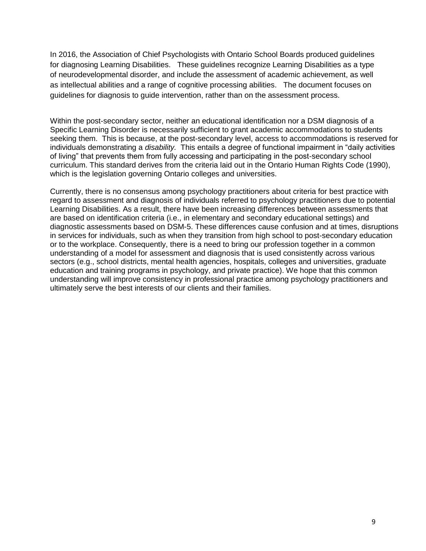In 2016, the Association of Chief Psychologists with Ontario School Boards produced guidelines for diagnosing Learning Disabilities. These guidelines recognize Learning Disabilities as a type of neurodevelopmental disorder, and include the assessment of academic achievement, as well as intellectual abilities and a range of cognitive processing abilities. The document focuses on guidelines for diagnosis to guide intervention, rather than on the assessment process.

Within the post-secondary sector, neither an educational identification nor a DSM diagnosis of a Specific Learning Disorder is necessarily sufficient to grant academic accommodations to students seeking them. This is because, at the post-secondary level, access to accommodations is reserved for individuals demonstrating a *disability.* This entails a degree of functional impairment in "daily activities of living" that prevents them from fully accessing and participating in the post-secondary school curriculum. This standard derives from the criteria laid out in the Ontario Human Rights Code (1990), which is the legislation governing Ontario colleges and universities.

Currently, there is no consensus among psychology practitioners about criteria for best practice with regard to assessment and diagnosis of individuals referred to psychology practitioners due to potential Learning Disabilities. As a result, there have been increasing differences between assessments that are based on identification criteria (i.e., in elementary and secondary educational settings) and diagnostic assessments based on DSM-5. These differences cause confusion and at times, disruptions in services for individuals, such as when they transition from high school to post-secondary education or to the workplace. Consequently, there is a need to bring our profession together in a common understanding of a model for assessment and diagnosis that is used consistently across various sectors (e.g., school districts, mental health agencies, hospitals, colleges and universities, graduate education and training programs in psychology, and private practice). We hope that this common understanding will improve consistency in professional practice among psychology practitioners and ultimately serve the best interests of our clients and their families.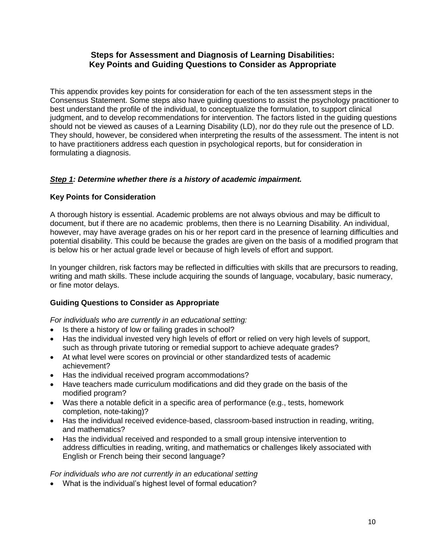## **Steps for Assessment and Diagnosis of Learning Disabilities: Key Points and Guiding Questions to Consider as Appropriate**

This appendix provides key points for consideration for each of the ten assessment steps in the Consensus Statement. Some steps also have guiding questions to assist the psychology practitioner to best understand the profile of the individual, to conceptualize the formulation, to support clinical judgment, and to develop recommendations for intervention. The factors listed in the guiding questions should not be viewed as causes of a Learning Disability (LD), nor do they rule out the presence of LD. They should, however, be considered when interpreting the results of the assessment. The intent is not to have practitioners address each question in psychological reports, but for consideration in formulating a diagnosis.

### *Step 1: Determine whether there is a history of academic impairment.*

#### **Key Points for Consideration**

A thorough history is essential. Academic problems are not always obvious and may be difficult to document, but if there are no academic problems, then there is no Learning Disability. An individual, however, may have average grades on his or her report card in the presence of learning difficulties and potential disability. This could be because the grades are given on the basis of a modified program that is below his or her actual grade level or because of high levels of effort and support.

In younger children, risk factors may be reflected in difficulties with skills that are precursors to reading, writing and math skills. These include acquiring the sounds of language, vocabulary, basic numeracy, or fine motor delays.

#### **Guiding Questions to Consider as Appropriate**

*For individuals who are currently in an educational setting:*

- Is there a history of low or failing grades in school?
- Has the individual invested very high levels of effort or relied on very high levels of support, such as through private tutoring or remedial support to achieve adequate grades?
- At what level were scores on provincial or other standardized tests of academic achievement?
- Has the individual received program accommodations?
- Have teachers made curriculum modifications and did they grade on the basis of the modified program?
- Was there a notable deficit in a specific area of performance (e.g., tests, homework completion, note-taking)?
- Has the individual received evidence-based, classroom-based instruction in reading, writing, and mathematics?
- Has the individual received and responded to a small group intensive intervention to address difficulties in reading, writing, and mathematics or challenges likely associated with English or French being their second language?

#### *For individuals who are not currently in an educational setting*

• What is the individual's highest level of formal education?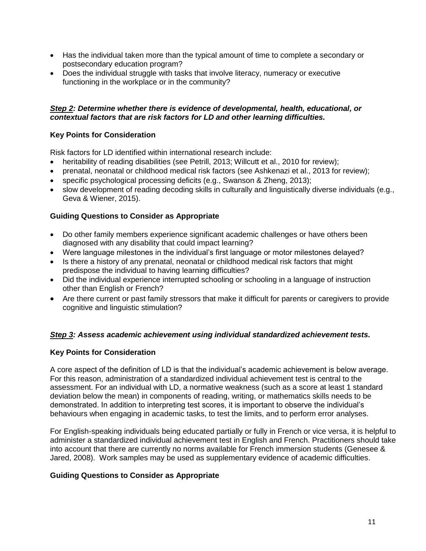- Has the individual taken more than the typical amount of time to complete a secondary or postsecondary education program?
- Does the individual struggle with tasks that involve literacy, numeracy or executive functioning in the workplace or in the community?

#### *Step 2: Determine whether there is evidence of developmental, health, educational, or contextual factors that are risk factors for LD and other learning difficulties.*

#### **Key Points for Consideration**

Risk factors for LD identified within international research include:

- heritability of reading disabilities (see Petrill, 2013; Willcutt et al., 2010 for review);
- prenatal, neonatal or childhood medical risk factors (see Ashkenazi et al., 2013 for review);
- specific psychological processing deficits (e.g., Swanson & Zheng, 2013);
- slow development of reading decoding skills in culturally and linguistically diverse individuals (e.g., Geva & Wiener, 2015).

#### **Guiding Questions to Consider as Appropriate**

- Do other family members experience significant academic challenges or have others been diagnosed with any disability that could impact learning?
- Were language milestones in the individual's first language or motor milestones delayed?
- Is there a history of any prenatal, neonatal or childhood medical risk factors that might predispose the individual to having learning difficulties?
- Did the individual experience interrupted schooling or schooling in a language of instruction other than English or French?
- Are there current or past family stressors that make it difficult for parents or caregivers to provide cognitive and linguistic stimulation?

#### *Step 3: Assess academic achievement using individual standardized achievement tests.*

#### **Key Points for Consideration**

A core aspect of the definition of LD is that the individual's academic achievement is below average. For this reason, administration of a standardized individual achievement test is central to the assessment. For an individual with LD, a normative weakness (such as a score at least 1 standard deviation below the mean) in components of reading, writing, or mathematics skills needs to be demonstrated. In addition to interpreting test scores, it is important to observe the individual's behaviours when engaging in academic tasks, to test the limits, and to perform error analyses.

For English-speaking individuals being educated partially or fully in French or vice versa, it is helpful to administer a standardized individual achievement test in English and French. Practitioners should take into account that there are currently no norms available for French immersion students (Genesee & Jared, 2008). Work samples may be used as supplementary evidence of academic difficulties.

#### **Guiding Questions to Consider as Appropriate**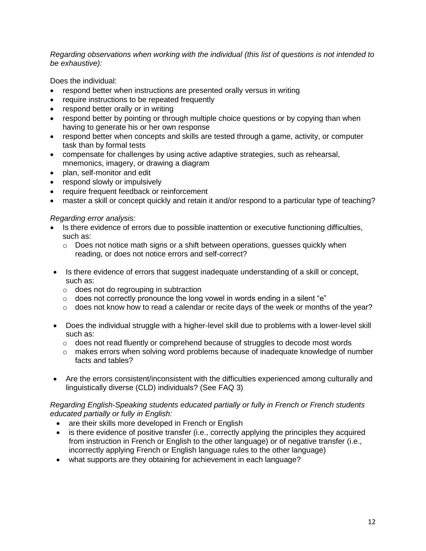*Regarding observations when working with the individual (this list of questions is not intended to be exhaustive):*

Does the individual:

- respond better when instructions are presented orally versus in writing
- require instructions to be repeated frequently
- respond better orally or in writing
- respond better by pointing or through multiple choice questions or by copying than when having to generate his or her own response
- respond better when concepts and skills are tested through a game, activity, or computer task than by formal tests
- compensate for challenges by using active adaptive strategies, such as rehearsal, mnemonics, imagery, or drawing a diagram
- plan, self-monitor and edit
- respond slowly or impulsively
- require frequent feedback or reinforcement
- master a skill or concept quickly and retain it and/or respond to a particular type of teaching?

*Regarding error analysis:* 

- Is there evidence of errors due to possible inattention or executive functioning difficulties, such as:
	- $\circ$  Does not notice math signs or a shift between operations, quesses quickly when reading, or does not notice errors and self-correct?
- Is there evidence of errors that suggest inadequate understanding of a skill or concept, such as:
	- o does not do regrouping in subtraction
	- $\circ$  does not correctly pronounce the long vowel in words ending in a silent "e"
	- $\circ$  does not know how to read a calendar or recite days of the week or months of the year?
- Does the individual struggle with a higher-level skill due to problems with a lower-level skill such as:
	- $\circ$  does not read fluently or comprehend because of struggles to decode most words
	- o makes errors when solving word problems because of inadequate knowledge of number facts and tables?
- Are the errors consistent/inconsistent with the difficulties experienced among culturally and linguistically diverse (CLD) individuals? (See FAQ 3)

#### *Regarding English-Speaking students educated partially or fully in French or French students educated partially or fully in English:*

- are their skills more developed in French or English
- is there evidence of positive transfer (i.e., correctly applying the principles they acquired from instruction in French or English to the other language) or of negative transfer (i.e., incorrectly applying French or English language rules to the other language)
- what supports are they obtaining for achievement in each language?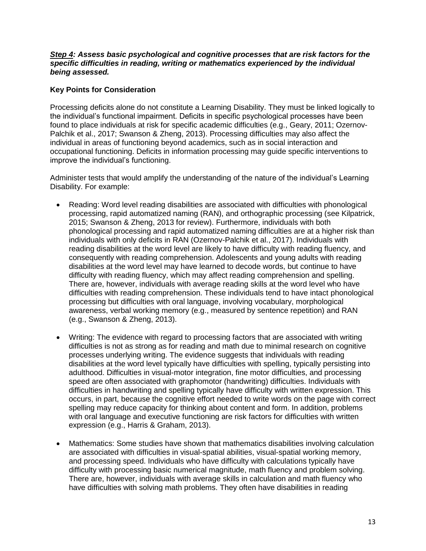#### *Step 4: Assess basic psychological and cognitive processes that are risk factors for the specific difficulties in reading, writing or mathematics experienced by the individual being assessed.*

#### **Key Points for Consideration**

Processing deficits alone do not constitute a Learning Disability. They must be linked logically to the individual's functional impairment. Deficits in specific psychological processes have been found to place individuals at risk for specific academic difficulties (e.g., Geary, 2011; Ozernov-Palchik et al., 2017; Swanson & Zheng, 2013). Processing difficulties may also affect the individual in areas of functioning beyond academics, such as in social interaction and occupational functioning. Deficits in information processing may guide specific interventions to improve the individual's functioning.

Administer tests that would amplify the understanding of the nature of the individual's Learning Disability. For example:

- Reading: Word level reading disabilities are associated with difficulties with phonological processing, rapid automatized naming (RAN), and orthographic processing (see Kilpatrick, 2015; Swanson & Zheng, 2013 for review). Furthermore, individuals with both phonological processing and rapid automatized naming difficulties are at a higher risk than individuals with only deficits in RAN (Ozernov-Palchik et al., 2017). Individuals with reading disabilities at the word level are likely to have difficulty with reading fluency, and consequently with reading comprehension. Adolescents and young adults with reading disabilities at the word level may have learned to decode words, but continue to have difficulty with reading fluency, which may affect reading comprehension and spelling. There are, however, individuals with average reading skills at the word level who have difficulties with reading comprehension. These individuals tend to have intact phonological processing but difficulties with oral language, involving vocabulary, morphological awareness, verbal working memory (e.g., measured by sentence repetition) and RAN (e.g., Swanson & Zheng, 2013).
- Writing: The evidence with regard to processing factors that are associated with writing difficulties is not as strong as for reading and math due to minimal research on cognitive processes underlying writing. The evidence suggests that individuals with reading disabilities at the word level typically have difficulties with spelling, typically persisting into adulthood. Difficulties in visual-motor integration, fine motor difficulties, and processing speed are often associated with graphomotor (handwriting) difficulties. Individuals with difficulties in handwriting and spelling typically have difficulty with written expression. This occurs, in part, because the cognitive effort needed to write words on the page with correct spelling may reduce capacity for thinking about content and form. In addition, problems with oral language and executive functioning are risk factors for difficulties with written expression (e.g., Harris & Graham, 2013).
- Mathematics: Some studies have shown that mathematics disabilities involving calculation are associated with difficulties in visual-spatial abilities, visual-spatial working memory, and processing speed. Individuals who have difficulty with calculations typically have difficulty with processing basic numerical magnitude, math fluency and problem solving. There are, however, individuals with average skills in calculation and math fluency who have difficulties with solving math problems. They often have disabilities in reading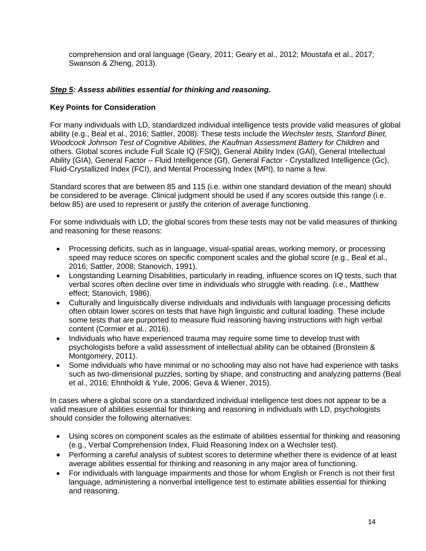comprehension and oral language (Geary, 2011; Geary et al., 2012; Moustafa et al., 2017; Swanson & Zheng, 2013).

## *Step 5: Assess abilities essential for thinking and reasoning.*

## **Key Points for Consideration**

For many individuals with LD, standardized individual intelligence tests provide valid measures of global ability (e.g., Beal et al., 2016; Sattler, 2008). These tests include the *Wechsler tests, Stanford Binet, Woodcock Johnson Test of Cognitive Abilities, the Kaufman Assessment Battery for Children and* others. Global scores include Full Scale IQ (FSIQ), General Ability Index (GAI), General Intellectual Ability (GIA), General Factor – Fluid Intelligence (Gf), General Factor - Crystallized Intelligence (Gc), Fluid-Crystallized Index (FCI), and Mental Processing Index (MPI), to name a few.

Standard scores that are between 85 and 115 (i.e. within one standard deviation of the mean) should be considered to be average. Clinical judgment should be used if any scores outside this range (i.e. below 85) are used to represent or justify the criterion of average functioning.

For some individuals with LD, the global scores from these tests may not be valid measures of thinking and reasoning for these reasons:

- Processing deficits, such as in language, visual-spatial areas, working memory, or processing speed may reduce scores on specific component scales and the global score (e.g., Beal et al., 2016; Sattler, 2008; Stanovich, 1991).
- Longstanding Learning Disabilities, particularly in reading, influence scores on IQ tests, such that verbal scores often decline over time in individuals who struggle with reading. (i.e., Matthew effect; Stanovich, 1986).
- Culturally and linguistically diverse individuals and individuals with language processing deficits often obtain lower scores on tests that have high linguistic and cultural loading. These include some tests that are purported to measure fluid reasoning having instructions with high verbal content (Cormier et al., 2016).
- Individuals who have experienced trauma may require some time to develop trust with psychologists before a valid assessment of intellectual ability can be obtained (Bronstein & Montgomery, 2011).
- Some individuals who have minimal or no schooling may also not have had experience with tasks such as two-dimensional puzzles, sorting by shape, and constructing and analyzing patterns (Beal et al., 2016; Ehntholdt & Yule, 2006; Geva & Wiener, 2015).

In cases where a global score on a standardized individual intelligence test does not appear to be a valid measure of abilities essential for thinking and reasoning in individuals with LD, psychologists should consider the following alternatives:

- Using scores on component scales as the estimate of abilities essential for thinking and reasoning (e.g., Verbal Comprehension Index, Fluid Reasoning Index on a Wechsler test).
- Performing a careful analysis of subtest scores to determine whether there is evidence of at least average abilities essential for thinking and reasoning in any major area of functioning.
- For individuals with language impairments and those for whom English or French is not their first language, administering a nonverbal intelligence test to estimate abilities essential for thinking and reasoning.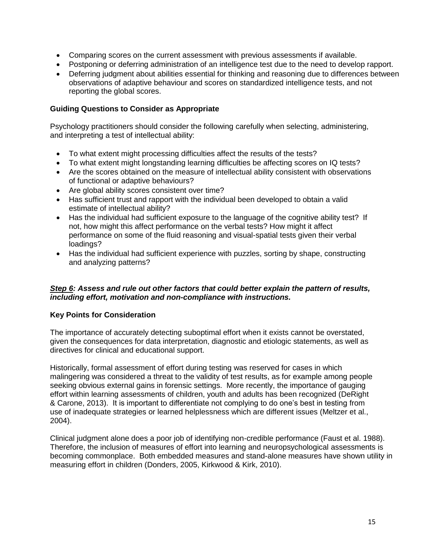- Comparing scores on the current assessment with previous assessments if available.
- Postponing or deferring administration of an intelligence test due to the need to develop rapport.
- Deferring judgment about abilities essential for thinking and reasoning due to differences between observations of adaptive behaviour and scores on standardized intelligence tests, and not reporting the global scores.

#### **Guiding Questions to Consider as Appropriate**

Psychology practitioners should consider the following carefully when selecting, administering, and interpreting a test of intellectual ability:

- To what extent might processing difficulties affect the results of the tests?
- To what extent might longstanding learning difficulties be affecting scores on IQ tests?
- Are the scores obtained on the measure of intellectual ability consistent with observations of functional or adaptive behaviours?
- Are global ability scores consistent over time?
- Has sufficient trust and rapport with the individual been developed to obtain a valid estimate of intellectual ability?
- Has the individual had sufficient exposure to the language of the cognitive ability test? If not, how might this affect performance on the verbal tests? How might it affect performance on some of the fluid reasoning and visual-spatial tests given their verbal loadings?
- Has the individual had sufficient experience with puzzles, sorting by shape, constructing and analyzing patterns?

#### *Step 6: Assess and rule out other factors that could better explain the pattern of results, including effort, motivation and non-compliance with instructions.*

#### **Key Points for Consideration**

The importance of accurately detecting suboptimal effort when it exists cannot be overstated, given the consequences for data interpretation, diagnostic and etiologic statements, as well as directives for clinical and educational support.

Historically, formal assessment of effort during testing was reserved for cases in which malingering was considered a threat to the validity of test results, as for example among people seeking obvious external gains in forensic settings. More recently, the importance of gauging effort within learning assessments of children, youth and adults has been recognized (DeRight & Carone, 2013). It is important to differentiate not complying to do one's best in testing from use of inadequate strategies or learned helplessness which are different issues (Meltzer et al., 2004).

Clinical judgment alone does a poor job of identifying non-credible performance (Faust et al. 1988). Therefore, the inclusion of measures of effort into learning and neuropsychological assessments is becoming commonplace. Both embedded measures and stand-alone measures have shown utility in measuring effort in children (Donders, 2005, Kirkwood & Kirk, 2010).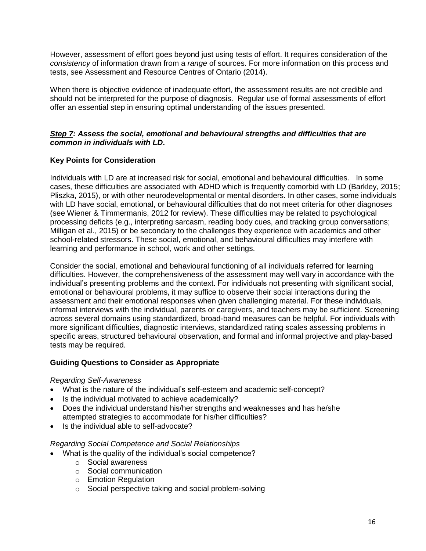However, assessment of effort goes beyond just using tests of effort. It requires consideration of the *consistency* of information drawn from a *range* of sources. For more information on this process and tests, see Assessment and Resource Centres of Ontario (2014).

When there is objective evidence of inadequate effort, the assessment results are not credible and should not be interpreted for the purpose of diagnosis. Regular use of formal assessments of effort offer an essential step in ensuring optimal understanding of the issues presented.

#### *Step 7: Assess the social, emotional and behavioural strengths and difficulties that are common in individuals with LD***.**

## **Key Points for Consideration**

Individuals with LD are at increased risk for social, emotional and behavioural difficulties. In some cases, these difficulties are associated with ADHD which is frequently comorbid with LD (Barkley, 2015; Pliszka, 2015), or with other neurodevelopmental or mental disorders. In other cases, some individuals with LD have social, emotional, or behavioural difficulties that do not meet criteria for other diagnoses (see Wiener & Timmermanis, 2012 for review). These difficulties may be related to psychological processing deficits (e.g., interpreting sarcasm, reading body cues, and tracking group conversations; Milligan et al., 2015) or be secondary to the challenges they experience with academics and other school-related stressors. These social, emotional, and behavioural difficulties may interfere with learning and performance in school, work and other settings.

Consider the social, emotional and behavioural functioning of all individuals referred for learning difficulties. However, the comprehensiveness of the assessment may well vary in accordance with the individual's presenting problems and the context. For individuals not presenting with significant social, emotional or behavioural problems, it may suffice to observe their social interactions during the assessment and their emotional responses when given challenging material. For these individuals, informal interviews with the individual, parents or caregivers, and teachers may be sufficient. Screening across several domains using standardized, broad-band measures can be helpful. For individuals with more significant difficulties, diagnostic interviews, standardized rating scales assessing problems in specific areas, structured behavioural observation, and formal and informal projective and play-based tests may be required.

#### **Guiding Questions to Consider as Appropriate**

#### *Regarding Self-Awareness*

- What is the nature of the individual's self-esteem and academic self-concept?
- Is the individual motivated to achieve academically?
- Does the individual understand his/her strengths and weaknesses and has he/she attempted strategies to accommodate for his/her difficulties?
- Is the individual able to self-advocate?

#### *Regarding Social Competence and Social Relationships*

- What is the quality of the individual's social competence?
	- o Social awareness
	- o Social communication
	- o Emotion Regulation
	- o Social perspective taking and social problem-solving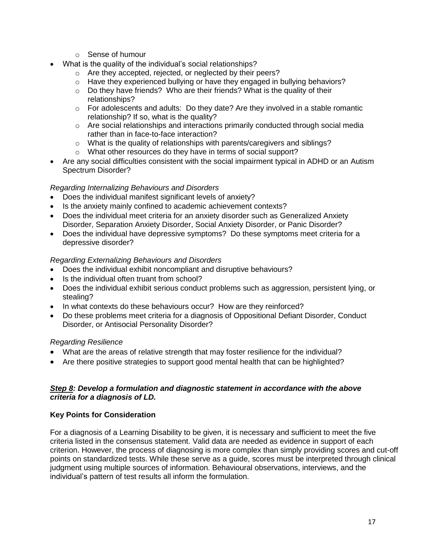- o Sense of humour
- What is the quality of the individual's social relationships?
	- o Are they accepted, rejected, or neglected by their peers?
	- $\circ$  Have they experienced bullying or have they engaged in bullying behaviors?
	- o Do they have friends? Who are their friends? What is the quality of their relationships?
	- $\circ$  For adolescents and adults: Do they date? Are they involved in a stable romantic relationship? If so, what is the quality?
	- $\circ$  Are social relationships and interactions primarily conducted through social media rather than in face-to-face interaction?
	- o What is the quality of relationships with parents/caregivers and siblings?
	- o What other resources do they have in terms of social support?
- Are any social difficulties consistent with the social impairment typical in ADHD or an Autism Spectrum Disorder?

### *Regarding Internalizing Behaviours and Disorders*

- Does the individual manifest significant levels of anxiety?
- Is the anxiety mainly confined to academic achievement contexts?
- Does the individual meet criteria for an anxiety disorder such as Generalized Anxiety Disorder, Separation Anxiety Disorder, Social Anxiety Disorder, or Panic Disorder?
- Does the individual have depressive symptoms? Do these symptoms meet criteria for a depressive disorder?

### *Regarding Externalizing Behaviours and Disorders*

- Does the individual exhibit noncompliant and disruptive behaviours?
- Is the individual often truant from school?
- Does the individual exhibit serious conduct problems such as aggression, persistent lying, or stealing?
- In what contexts do these behaviours occur? How are they reinforced?
- Do these problems meet criteria for a diagnosis of Oppositional Defiant Disorder, Conduct Disorder, or Antisocial Personality Disorder?

## *Regarding Resilience*

- What are the areas of relative strength that may foster resilience for the individual?
- Are there positive strategies to support good mental health that can be highlighted?

#### *Step 8: Develop a formulation and diagnostic statement in accordance with the above criteria for a diagnosis of LD.*

#### **Key Points for Consideration**

For a diagnosis of a Learning Disability to be given, it is necessary and sufficient to meet the five criteria listed in the consensus statement. Valid data are needed as evidence in support of each criterion. However, the process of diagnosing is more complex than simply providing scores and cut-off points on standardized tests. While these serve as a guide, scores must be interpreted through clinical judgment using multiple sources of information. Behavioural observations, interviews, and the individual's pattern of test results all inform the formulation.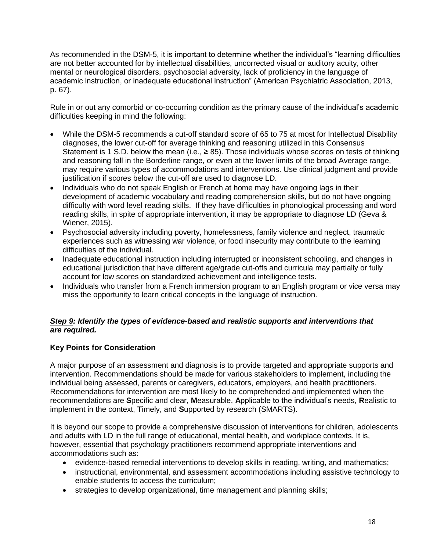As recommended in the DSM-5, it is important to determine whether the individual's "learning difficulties are not better accounted for by intellectual disabilities, uncorrected visual or auditory acuity, other mental or neurological disorders, psychosocial adversity, lack of proficiency in the language of academic instruction, or inadequate educational instruction" (American Psychiatric Association, 2013, p. 67).

Rule in or out any comorbid or co-occurring condition as the primary cause of the individual's academic difficulties keeping in mind the following:

- While the DSM-5 recommends a cut-off standard score of 65 to 75 at most for Intellectual Disability diagnoses, the lower cut-off for average thinking and reasoning utilized in this Consensus Statement is 1 S.D. below the mean (i.e.,  $\geq$  85). Those individuals whose scores on tests of thinking and reasoning fall in the Borderline range, or even at the lower limits of the broad Average range, may require various types of accommodations and interventions. Use clinical judgment and provide justification if scores below the cut-off are used to diagnose LD.
- Individuals who do not speak English or French at home may have ongoing lags in their development of academic vocabulary and reading comprehension skills, but do not have ongoing difficulty with word level reading skills. If they have difficulties in phonological processing and word reading skills, in spite of appropriate intervention, it may be appropriate to diagnose LD (Geva & Wiener, 2015).
- Psychosocial adversity including poverty, homelessness, family violence and neglect, traumatic experiences such as witnessing war violence, or food insecurity may contribute to the learning difficulties of the individual.
- Inadequate educational instruction including interrupted or inconsistent schooling, and changes in educational jurisdiction that have different age/grade cut-offs and curricula may partially or fully account for low scores on standardized achievement and intelligence tests.
- Individuals who transfer from a French immersion program to an English program or vice versa may miss the opportunity to learn critical concepts in the language of instruction.

#### *Step 9: Identify the types of evidence-based and realistic supports and interventions that are required.*

## **Key Points for Consideration**

A major purpose of an assessment and diagnosis is to provide targeted and appropriate supports and intervention. Recommendations should be made for various stakeholders to implement, including the individual being assessed, parents or caregivers, educators, employers, and health practitioners. Recommendations for intervention are most likely to be comprehended and implemented when the recommendations are **S**pecific and clear, **M**easurable, **A**pplicable to the individual's needs, **R**ealistic to implement in the context, **T**imely, and **S**upported by research (SMARTS).

It is beyond our scope to provide a comprehensive discussion of interventions for children, adolescents and adults with LD in the full range of educational, mental health, and workplace contexts. It is, however, essential that psychology practitioners recommend appropriate interventions and accommodations such as:

- evidence-based remedial interventions to develop skills in reading, writing, and mathematics;
- instructional, environmental, and assessment accommodations including assistive technology to enable students to access the curriculum;
- strategies to develop organizational, time management and planning skills;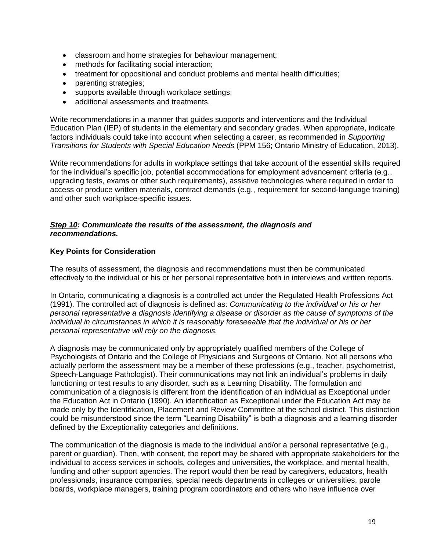- classroom and home strategies for behaviour management;
- methods for facilitating social interaction;
- treatment for oppositional and conduct problems and mental health difficulties;
- parenting strategies;
- supports available through workplace settings;
- additional assessments and treatments.

Write recommendations in a manner that guides supports and interventions and the Individual Education Plan (IEP) of students in the elementary and secondary grades. When appropriate, indicate factors individuals could take into account when selecting a career, as recommended in *Supporting Transitions for Students with Special Education Needs* (PPM 156; Ontario Ministry of Education, 2013).

Write recommendations for adults in workplace settings that take account of the essential skills required for the individual's specific job, potential accommodations for employment advancement criteria (e.g., upgrading tests, exams or other such requirements), assistive technologies where required in order to access or produce written materials, contract demands (e.g., requirement for second-language training) and other such workplace-specific issues.

#### *Step 10: Communicate the results of the assessment, the diagnosis and recommendations.*

#### **Key Points for Consideration**

The results of assessment, the diagnosis and recommendations must then be communicated effectively to the individual or his or her personal representative both in interviews and written reports.

In Ontario, communicating a diagnosis is a controlled act under the Regulated Health Professions Act (1991). The controlled act of diagnosis is defined as: *Communicating to the individual or his or her personal representative a diagnosis identifying a disease or disorder as the cause of symptoms of the individual in circumstances in which it is reasonably foreseeable that the individual or his or her personal representative will rely on the diagnosis.*

A diagnosis may be communicated only by appropriately qualified members of the College of Psychologists of Ontario and the College of Physicians and Surgeons of Ontario. Not all persons who actually perform the assessment may be a member of these professions (e.g., teacher, psychometrist, Speech-Language Pathologist). Their communications may not link an individual's problems in daily functioning or test results to any disorder, such as a Learning Disability. The formulation and communication of a diagnosis is different from the identification of an individual as Exceptional under the Education Act in Ontario (1990). An identification as Exceptional under the Education Act may be made only by the Identification, Placement and Review Committee at the school district. This distinction could be misunderstood since the term "Learning Disability" is both a diagnosis and a learning disorder defined by the Exceptionality categories and definitions.

The communication of the diagnosis is made to the individual and/or a personal representative (e.g., parent or guardian). Then, with consent, the report may be shared with appropriate stakeholders for the individual to access services in schools, colleges and universities, the workplace, and mental health, funding and other support agencies. The report would then be read by caregivers, educators, health professionals, insurance companies, special needs departments in colleges or universities, parole boards, workplace managers, training program coordinators and others who have influence over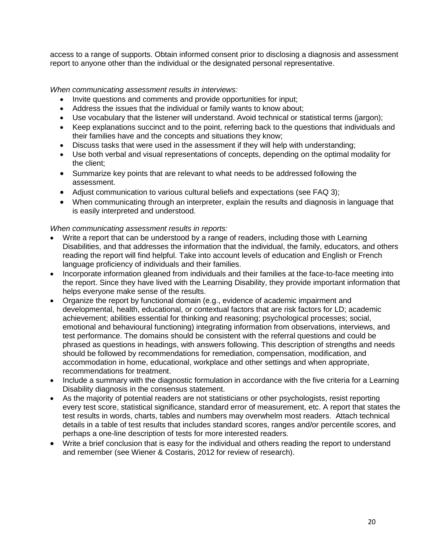access to a range of supports. Obtain informed consent prior to disclosing a diagnosis and assessment report to anyone other than the individual or the designated personal representative.

#### *When communicating assessment results in interviews:*

- Invite questions and comments and provide opportunities for input;
- Address the issues that the individual or family wants to know about;
- Use vocabulary that the listener will understand. Avoid technical or statistical terms (jargon);
- Keep explanations succinct and to the point, referring back to the questions that individuals and their families have and the concepts and situations they know;
- Discuss tasks that were used in the assessment if they will help with understanding;
- Use both verbal and visual representations of concepts, depending on the optimal modality for the client;
- Summarize key points that are relevant to what needs to be addressed following the assessment.
- Adjust communication to various cultural beliefs and expectations (see FAQ 3);
- When communicating through an interpreter, explain the results and diagnosis in language that is easily interpreted and understood.

*When communicating assessment results in reports:*

- Write a report that can be understood by a range of readers, including those with Learning Disabilities, and that addresses the information that the individual, the family, educators, and others reading the report will find helpful. Take into account levels of education and English or French language proficiency of individuals and their families.
- Incorporate information gleaned from individuals and their families at the face-to-face meeting into the report. Since they have lived with the Learning Disability, they provide important information that helps everyone make sense of the results.
- Organize the report by functional domain (e.g., evidence of academic impairment and developmental, health, educational, or contextual factors that are risk factors for LD; academic achievement; abilities essential for thinking and reasoning; psychological processes; social, emotional and behavioural functioning) integrating information from observations, interviews, and test performance. The domains should be consistent with the referral questions and could be phrased as questions in headings, with answers following. This description of strengths and needs should be followed by recommendations for remediation, compensation, modification, and accommodation in home, educational, workplace and other settings and when appropriate, recommendations for treatment.
- Include a summary with the diagnostic formulation in accordance with the five criteria for a Learning Disability diagnosis in the consensus statement.
- As the majority of potential readers are not statisticians or other psychologists, resist reporting every test score, statistical significance, standard error of measurement, etc. A report that states the test results in words, charts, tables and numbers may overwhelm most readers. Attach technical details in a table of test results that includes standard scores, ranges and/or percentile scores, and perhaps a one-line description of tests for more interested readers.
- Write a brief conclusion that is easy for the individual and others reading the report to understand and remember (see Wiener & Costaris, 2012 for review of research).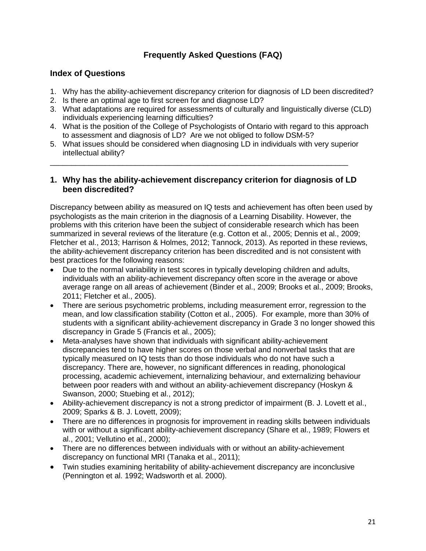## **Frequently Asked Questions (FAQ)**

## **Index of Questions**

- 1. Why has the ability-achievement discrepancy criterion for diagnosis of LD been discredited?
- 2. Is there an optimal age to first screen for and diagnose LD?
- 3. What adaptations are required for assessments of culturally and linguistically diverse (CLD) individuals experiencing learning difficulties?
- 4. What is the position of the College of Psychologists of Ontario with regard to this approach to assessment and diagnosis of LD? Are we not obliged to follow DSM-5?
- 5. What issues should be considered when diagnosing LD in individuals with very superior intellectual ability?

\_\_\_\_\_\_\_\_\_\_\_\_\_\_\_\_\_\_\_\_\_\_\_\_\_\_\_\_\_\_\_\_\_\_\_\_\_\_\_\_\_\_\_\_\_\_\_\_\_\_\_\_\_\_\_\_\_\_\_\_\_\_\_\_\_\_\_\_\_\_

## **1. Why has the ability-achievement discrepancy criterion for diagnosis of LD been discredited?**

Discrepancy between ability as measured on IQ tests and achievement has often been used by psychologists as the main criterion in the diagnosis of a Learning Disability. However, the problems with this criterion have been the subject of considerable research which has been summarized in several reviews of the literature (e.g. Cotton et al., 2005; Dennis et al., 2009; Fletcher et al., 2013; Harrison & Holmes, 2012; Tannock, 2013). As reported in these reviews, the ability-achievement discrepancy criterion has been discredited and is not consistent with best practices for the following reasons:

- Due to the normal variability in test scores in typically developing children and adults, individuals with an ability-achievement discrepancy often score in the average or above average range on all areas of achievement (Binder et al., 2009; Brooks et al., 2009; Brooks, 2011; Fletcher et al., 2005).
- There are serious psychometric problems, including measurement error, regression to the mean, and low classification stability (Cotton et al., 2005). For example, more than 30% of students with a significant ability-achievement discrepancy in Grade 3 no longer showed this discrepancy in Grade 5 (Francis et al., 2005);
- Meta-analyses have shown that individuals with significant ability-achievement discrepancies tend to have higher scores on those verbal and nonverbal tasks that are typically measured on IQ tests than do those individuals who do not have such a discrepancy. There are, however, no significant differences in reading, phonological processing, academic achievement, internalizing behaviour, and externalizing behaviour between poor readers with and without an ability-achievement discrepancy (Hoskyn & Swanson, 2000; Stuebing et al., 2012);
- Ability-achievement discrepancy is not a strong predictor of impairment (B. J. Lovett et al., 2009; Sparks & B. J. Lovett, 2009);
- There are no differences in prognosis for improvement in reading skills between individuals with or without a significant ability-achievement discrepancy (Share et al., 1989; Flowers et al., 2001; Vellutino et al., 2000);
- There are no differences between individuals with or without an ability-achievement discrepancy on functional MRI (Tanaka et al., 2011);
- Twin studies examining heritability of ability-achievement discrepancy are inconclusive (Pennington et al. 1992; Wadsworth et al. 2000).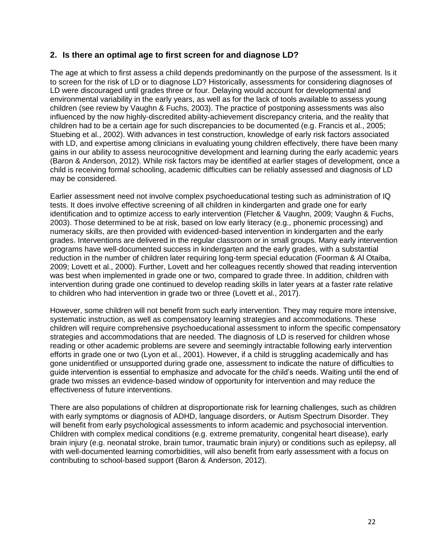## **2. Is there an optimal age to first screen for and diagnose LD?**

The age at which to first assess a child depends predominantly on the purpose of the assessment. Is it to screen for the risk of LD or to diagnose LD? Historically, assessments for considering diagnoses of LD were discouraged until grades three or four. Delaying would account for developmental and environmental variability in the early years, as well as for the lack of tools available to assess young children (see review by Vaughn & Fuchs, 2003). The practice of postponing assessments was also influenced by the now highly-discredited ability-achievement discrepancy criteria, and the reality that children had to be a certain age for such discrepancies to be documented (e.g. Francis et al., 2005; Stuebing et al., 2002). With advances in test construction, knowledge of early risk factors associated with LD, and expertise among clinicians in evaluating young children effectively, there have been many gains in our ability to assess neurocognitive development and learning during the early academic years (Baron & Anderson, 2012). While risk factors may be identified at earlier stages of development, once a child is receiving formal schooling, academic difficulties can be reliably assessed and diagnosis of LD may be considered.

Earlier assessment need not involve complex psychoeducational testing such as administration of IQ tests. It does involve effective screening of all children in kindergarten and grade one for early identification and to optimize access to early intervention (Fletcher & Vaughn, 2009; Vaughn & Fuchs, 2003). Those determined to be at risk, based on low early literacy (e.g., phonemic processing) and numeracy skills, are then provided with evidenced-based intervention in kindergarten and the early grades. Interventions are delivered in the regular classroom or in small groups. Many early intervention programs have well-documented success in kindergarten and the early grades, with a substantial reduction in the number of children later requiring long-term special education (Foorman & Al Otaiba, 2009; Lovett et al., 2000). Further, Lovett and her colleagues recently showed that reading intervention was best when implemented in grade one or two, compared to grade three. In addition, children with intervention during grade one continued to develop reading skills in later years at a faster rate relative to children who had intervention in grade two or three (Lovett et al., 2017).

However, some children will not benefit from such early intervention. They may require more intensive, systematic instruction, as well as compensatory learning strategies and accommodations. These children will require comprehensive psychoeducational assessment to inform the specific compensatory strategies and accommodations that are needed. The diagnosis of LD is reserved for children whose reading or other academic problems are severe and seemingly intractable following early intervention efforts in grade one or two (Lyon et al., 2001). However, if a child is struggling academically and has gone unidentified or unsupported during grade one, assessment to indicate the nature of difficulties to guide intervention is essential to emphasize and advocate for the child's needs. Waiting until the end of grade two misses an evidence-based window of opportunity for intervention and may reduce the effectiveness of future interventions.

There are also populations of children at disproportionate risk for learning challenges, such as children with early symptoms or diagnosis of ADHD, language disorders, or Autism Spectrum Disorder. They will benefit from early psychological assessments to inform academic and psychosocial intervention. Children with complex medical conditions (e.g. extreme prematurity, congenital heart disease), early brain injury (e.g. neonatal stroke, brain tumor, traumatic brain injury) or conditions such as epilepsy, all with well-documented learning comorbidities, will also benefit from early assessment with a focus on contributing to school-based support (Baron & Anderson, 2012).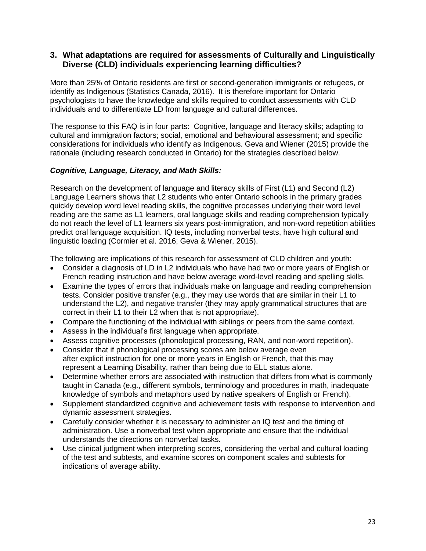## **3. What adaptations are required for assessments of Culturally and Linguistically Diverse (CLD) individuals experiencing learning difficulties?**

More than 25% of Ontario residents are first or second-generation immigrants or refugees, or identify as Indigenous (Statistics Canada, 2016). It is therefore important for Ontario psychologists to have the knowledge and skills required to conduct assessments with CLD individuals and to differentiate LD from language and cultural differences.

The response to this FAQ is in four parts: Cognitive, language and literacy skills; adapting to cultural and immigration factors; social, emotional and behavioural assessment; and specific considerations for individuals who identify as Indigenous. Geva and Wiener (2015) provide the rationale (including research conducted in Ontario) for the strategies described below.

### *Cognitive, Language, Literacy, and Math Skills:*

Research on the development of language and literacy skills of First (L1) and Second (L2) Language Learners shows that L2 students who enter Ontario schools in the primary grades quickly develop word level reading skills, the cognitive processes underlying their word level reading are the same as L1 learners, oral language skills and reading comprehension typically do not reach the level of L1 learners six years post-immigration, and non-word repetition abilities predict oral language acquisition. IQ tests, including nonverbal tests, have high cultural and linguistic loading (Cormier et al. 2016; Geva & Wiener, 2015).

The following are implications of this research for assessment of CLD children and youth:

- Consider a diagnosis of LD in L2 individuals who have had two or more years of English or French reading instruction and have below average word-level reading and spelling skills.
- Examine the types of errors that individuals make on language and reading comprehension tests. Consider positive transfer (e.g., they may use words that are similar in their L1 to understand the L2), and negative transfer (they may apply grammatical structures that are correct in their L1 to their L2 when that is not appropriate).
- Compare the functioning of the individual with siblings or peers from the same context.
- Assess in the individual's first language when appropriate.
- Assess cognitive processes (phonological processing, RAN, and non-word repetition).
- Consider that if phonological processing scores are below average even after explicit instruction for one or more years in English or French, that this may represent a Learning Disability, rather than being due to ELL status alone.
- Determine whether errors are associated with instruction that differs from what is commonly taught in Canada (e.g., different symbols, terminology and procedures in math, inadequate knowledge of symbols and metaphors used by native speakers of English or French).
- Supplement standardized cognitive and achievement tests with response to intervention and dynamic assessment strategies.
- Carefully consider whether it is necessary to administer an IQ test and the timing of administration. Use a nonverbal test when appropriate and ensure that the individual understands the directions on nonverbal tasks.
- Use clinical judgment when interpreting scores, considering the verbal and cultural loading of the test and subtests, and examine scores on component scales and subtests for indications of average ability.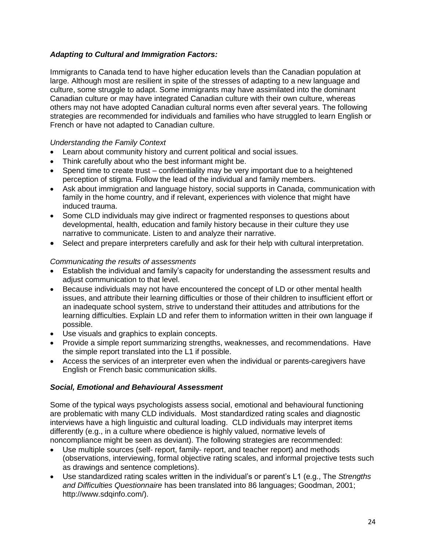### *Adapting to Cultural and Immigration Factors:*

Immigrants to Canada tend to have higher education levels than the Canadian population at large. Although most are resilient in spite of the stresses of adapting to a new language and culture, some struggle to adapt. Some immigrants may have assimilated into the dominant Canadian culture or may have integrated Canadian culture with their own culture, whereas others may not have adopted Canadian cultural norms even after several years. The following strategies are recommended for individuals and families who have struggled to learn English or French or have not adapted to Canadian culture.

#### *Understanding the Family Context*

- Learn about community history and current political and social issues.
- Think carefully about who the best informant might be.
- Spend time to create trust confidentiality may be very important due to a heightened perception of stigma. Follow the lead of the individual and family members.
- Ask about immigration and language history, social supports in Canada, communication with family in the home country, and if relevant, experiences with violence that might have induced trauma.
- Some CLD individuals may give indirect or fragmented responses to questions about developmental, health, education and family history because in their culture they use narrative to communicate. Listen to and analyze their narrative.
- Select and prepare interpreters carefully and ask for their help with cultural interpretation.

#### *Communicating the results of assessments*

- Establish the individual and family's capacity for understanding the assessment results and adjust communication to that level.
- Because individuals may not have encountered the concept of LD or other mental health issues, and attribute their learning difficulties or those of their children to insufficient effort or an inadequate school system, strive to understand their attitudes and attributions for the learning difficulties. Explain LD and refer them to information written in their own language if possible.
- Use visuals and graphics to explain concepts.
- Provide a simple report summarizing strengths, weaknesses, and recommendations. Have the simple report translated into the L1 if possible.
- Access the services of an interpreter even when the individual or parents-caregivers have English or French basic communication skills.

#### *Social, Emotional and Behavioural Assessment*

Some of the typical ways psychologists assess social, emotional and behavioural functioning are problematic with many CLD individuals. Most standardized rating scales and diagnostic interviews have a high linguistic and cultural loading. CLD individuals may interpret items differently (e.g., in a culture where obedience is highly valued, normative levels of noncompliance might be seen as deviant). The following strategies are recommended:

- Use multiple sources (self- report, family- report, and teacher report) and methods (observations, interviewing, formal objective rating scales, and informal projective tests such as drawings and sentence completions).
- Use standardized rating scales written in the individual's or parent's L1 (e.g., The *Strengths and Difficulties Questionnaire* has been translated into 86 languages; Goodman, 2001; http://www.sdqinfo.com/).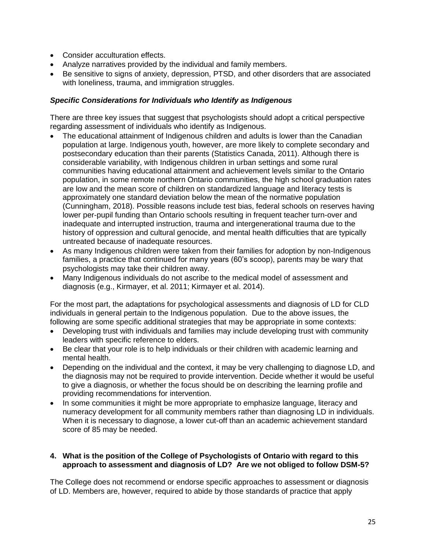- Consider acculturation effects.
- Analyze narratives provided by the individual and family members.
- Be sensitive to signs of anxiety, depression, PTSD, and other disorders that are associated with loneliness, trauma, and immigration struggles.

#### *Specific Considerations for Individuals who Identify as Indigenous*

There are three key issues that suggest that psychologists should adopt a critical perspective regarding assessment of individuals who identify as Indigenous.

- The educational attainment of Indigenous children and adults is lower than the Canadian population at large. Indigenous youth, however, are more likely to complete secondary and postsecondary education than their parents (Statistics Canada, 2011). Although there is considerable variability, with Indigenous children in urban settings and some rural communities having educational attainment and achievement levels similar to the Ontario population, in some remote northern Ontario communities, the high school graduation rates are low and the mean score of children on standardized language and literacy tests is approximately one standard deviation below the mean of the normative population (Cunningham, 2018). Possible reasons include test bias, federal schools on reserves having lower per-pupil funding than Ontario schools resulting in frequent teacher turn-over and inadequate and interrupted instruction, trauma and intergenerational trauma due to the history of oppression and cultural genocide, and mental health difficulties that are typically untreated because of inadequate resources.
- As many Indigenous children were taken from their families for adoption by non-Indigenous families, a practice that continued for many years (60's scoop), parents may be wary that psychologists may take their children away.
- Many Indigenous individuals do not ascribe to the medical model of assessment and diagnosis (e.g., Kirmayer, et al. 2011; Kirmayer et al. 2014).

For the most part, the adaptations for psychological assessments and diagnosis of LD for CLD individuals in general pertain to the Indigenous population. Due to the above issues, the following are some specific additional strategies that may be appropriate in some contexts:

- Developing trust with individuals and families may include developing trust with community leaders with specific reference to elders.
- Be clear that your role is to help individuals or their children with academic learning and mental health.
- Depending on the individual and the context, it may be very challenging to diagnose LD, and the diagnosis may not be required to provide intervention. Decide whether it would be useful to give a diagnosis, or whether the focus should be on describing the learning profile and providing recommendations for intervention.
- In some communities it might be more appropriate to emphasize language, literacy and numeracy development for all community members rather than diagnosing LD in individuals. When it is necessary to diagnose, a lower cut-off than an academic achievement standard score of 85 may be needed.

#### **4. What is the position of the College of Psychologists of Ontario with regard to this approach to assessment and diagnosis of LD? Are we not obliged to follow DSM-5?**

The College does not recommend or endorse specific approaches to assessment or diagnosis of LD. Members are, however, required to abide by those standards of practice that apply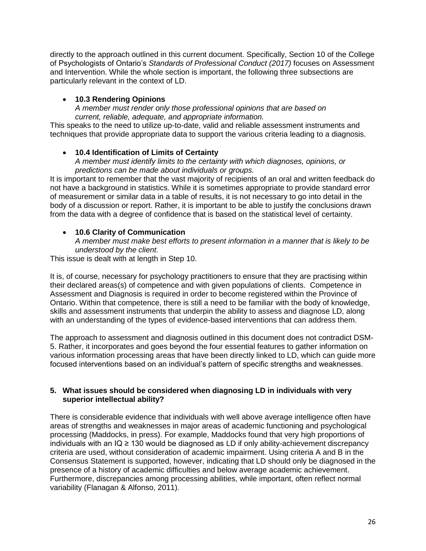directly to the approach outlined in this current document. Specifically, Section 10 of the College of Psychologists of Ontario's *Standards of Professional Conduct (2017)* focuses on Assessment and Intervention. While the whole section is important, the following three subsections are particularly relevant in the context of LD.

## • **10.3 Rendering Opinions**

*A member must render only those professional opinions that are based on current, reliable, adequate, and appropriate information.*

This speaks to the need to utilize up-to-date, valid and reliable assessment instruments and techniques that provide appropriate data to support the various criteria leading to a diagnosis.

### • **10.4 Identification of Limits of Certainty**

*A member must identify limits to the certainty with which diagnoses, opinions, or predictions can be made about individuals or groups.*

It is important to remember that the vast majority of recipients of an oral and written feedback do not have a background in statistics. While it is sometimes appropriate to provide standard error of measurement or similar data in a table of results, it is not necessary to go into detail in the body of a discussion or report. Rather, it is important to be able to justify the conclusions drawn from the data with a degree of confidence that is based on the statistical level of certainty.

## • **10.6 Clarity of Communication**

*A member must make best efforts to present information in a manner that is likely to be understood by the client.*

This issue is dealt with at length in Step 10.

It is, of course, necessary for psychology practitioners to ensure that they are practising within their declared areas(s) of competence and with given populations of clients. Competence in Assessment and Diagnosis is required in order to become registered within the Province of Ontario. Within that competence, there is still a need to be familiar with the body of knowledge, skills and assessment instruments that underpin the ability to assess and diagnose LD, along with an understanding of the types of evidence-based interventions that can address them.

The approach to assessment and diagnosis outlined in this document does not contradict DSM-5. Rather, it incorporates and goes beyond the four essential features to gather information on various information processing areas that have been directly linked to LD, which can guide more focused interventions based on an individual's pattern of specific strengths and weaknesses.

#### **5. What issues should be considered when diagnosing LD in individuals with very superior intellectual ability?**

There is considerable evidence that individuals with well above average intelligence often have areas of strengths and weaknesses in major areas of academic functioning and psychological processing (Maddocks, in press). For example, Maddocks found that very high proportions of individuals with an IQ ≥ 130 would be diagnosed as LD if only ability-achievement discrepancy criteria are used, without consideration of academic impairment. Using criteria A and B in the Consensus Statement is supported, however, indicating that LD should only be diagnosed in the presence of a history of academic difficulties and below average academic achievement. Furthermore, discrepancies among processing abilities, while important, often reflect normal variability (Flanagan & Alfonso, 2011).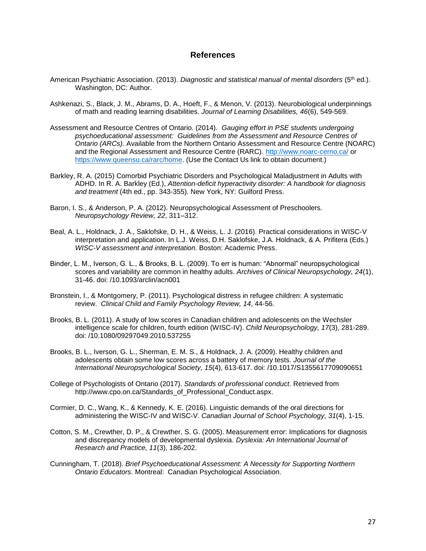#### **References**

- American Psychiatric Association. (2013). *Diagnostic and statistical manual of mental disorders* (5<sup>th</sup> ed.). Washington, DC: Author.
- Ashkenazi, S., Black, J. M., Abrams, D. A., Hoeft, F., & Menon, V. (2013). Neurobiological underpinnings of math and reading learning disabilities. *Journal of Learning Disabilities, 46*(6), 549-569.
- Assessment and Resource Centres of Ontario. (2014). *Gauging effort in PSE students undergoing psychoeducational assessment: Guidelines from the Assessment and Resource Centres of Ontario (ARCs).* Available from the Northern Ontario Assessment and Resource Centre (NOARC) and the Regional Assessment and Resource Centre (RARC). <http://www.noarc-cerno.ca/> or [https://www.queensu.ca/rarc/home.](https://www.queensu.ca/rarc/home) (Use the Contact Us link to obtain document.)
- Barkley, R. A. (2015) Comorbid Psychiatric Disorders and Psychological Maladjustment in Adults with ADHD. In R. A. Barkley (Ed.), *Attention-deficit hyperactivity disorder: A handbook for diagnosis and treatment* (4th ed., pp. 343-355)*.* New York, NY: Guilford Press.
- Baron, I. S., & Anderson, P. A. (2012). Neuropsychological Assessment of Preschoolers. *Neuropsychology Review, 22*, 311–312.
- Beal, A. L., Holdnack, J. A., Saklofske, D. H., & Weiss, L. J. (2016). Practical considerations in WISC-V interpretation and application. In L.J. Weiss, D.H. Saklofske, J.A. Holdnack, & A. Prifitera (Eds.) *WISC-V assessment and interpretation.* Boston: Academic Press.
- Binder, L. M., Iverson, G. L., & Brooks, B. L. (2009). To err is human: "Abnormal" neuropsychological scores and variability are common in healthy adults. *Archives of Clinical Neuropsychology, 24*(1), 31-46. doi: /10.1093/arclin/acn001
- Bronstein, I., & Montgomery, P. (2011). Psychological distress in refugee children: A systematic review. *Clinical Child and Family Psychology Review, 14*, 44-56.
- Brooks, B. L. (2011). A study of low scores in Canadian children and adolescents on the Wechsler intelligence scale for children, fourth edition (WISC-IV). *Child Neuropsychology, 17*(3), 281-289. doi: /10.1080/09297049.2010.537255
- Brooks, B. L., Iverson, G. L., Sherman, E. M. S., & Holdnack, J. A. (2009). Healthy children and adolescents obtain some low scores across a battery of memory tests. *Journal of the International Neuropsychological Society, 15*(4), 613-617. doi: /10.1017/S1355617709090651
- College of Psychologists of Ontario (2017). *Standards of professional conduct*. Retrieved from http://www.cpo.on.ca/Standards\_of\_Professional\_Conduct.aspx.
- Cormier, D. C., Wang, K., & Kennedy, K. E. (2016). Linguistic demands of the oral directions for administering the WISC-IV and WISC-V. *Canadian Journal of School Psychology, 31*(4), 1-15.
- Cotton, S. M., Crewther, D. P., & Crewther, S. G. (2005). Measurement error: Implications for diagnosis and discrepancy models of developmental dyslexia. *Dyslexia: An International Journal of Research and Practice, 11*(3), 186-202.
- Cunningham, T. (2018). *Brief Psychoeducational Assessment: A Necessity for Supporting Northern Ontario Educators.* Montreal: Canadian Psychological Association.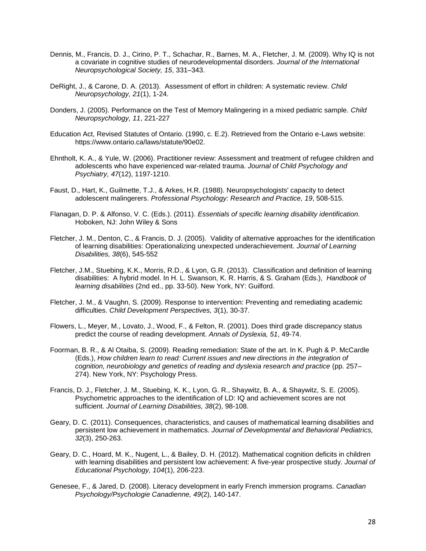- Dennis, M., Francis, D. J., Cirino, P. T., Schachar, R., Barnes, M. A., Fletcher, J. M. (2009). Why IQ is not a covariate in cognitive studies of neurodevelopmental disorders. *Journal of the International Neuropsychological Society, 15*, 331–343.
- DeRight, J., & Carone, D. A. (2013). Assessment of effort in children: A systematic review. *Child Neuropsychology, 21*(1), 1-24.
- Donders, J. (2005). Performance on the Test of Memory Malingering in a mixed pediatric sample. *Child Neuropsychology, 11*, 221-227
- Education Act, Revised Statutes of Ontario. (1990, c. E.2). Retrieved from the Ontario e-Laws website: https://www.ontario.ca/laws/statute/90e02.
- Ehntholt, K. A., & Yule, W. (2006). Practitioner review: Assessment and treatment of refugee children and adolescents who have experienced war-related trauma. *Journal of Child Psychology and Psychiatry, 47*(12), 1197-1210.
- Faust, D., Hart, K., Guilmette, T.J., & Arkes, H.R. (1988). Neuropsychologists' capacity to detect adolescent malingerers. *Professional Psychology: Research and Practice, 19*, 508-515.
- Flanagan, D. P. & Alfonso, V. C. (Eds.). (2011). *Essentials of specific learning disability identification.* Hoboken, NJ: John Wiley & Sons
- Fletcher, J. M., Denton, C., & Francis, D. J. (2005). Validity of alternative approaches for the identification of learning disabilities: Operationalizing unexpected underachievement. *Journal of Learning Disabilities, 38*(6), 545-552
- Fletcher, J.M., Stuebing, K.K., Morris, R.D., & Lyon, G.R. (2013). Classification and definition of learning disabilities: A hybrid model. In H. L. Swanson, K. R. Harris, & S. Graham (Eds.), *Handbook of learning disabilities* (2nd ed., pp. 33-50). New York, NY: Guilford.
- Fletcher, J. M., & Vaughn, S. (2009). Response to intervention: Preventing and remediating academic difficulties. *Child Development Perspectives, 3*(1), 30-37.
- Flowers, L., Meyer, M., Lovato, J., Wood, F., & Felton, R. (2001). Does third grade discrepancy status predict the course of reading development. *Annals of Dyslexia, 51*, 49-74.
- Foorman, B. R., & Al Otaiba, S. (2009). Reading remediation: State of the art. In K. Pugh & P. McCardle (Eds.), *How children learn to read: Current issues and new directions in the integration of cognition, neurobiology and genetics of reading and dyslexia research and practice* (pp. 257– 274). New York, NY: Psychology Press.
- Francis, D. J., Fletcher, J. M., Stuebing, K. K., Lyon, G. R., Shaywitz, B. A., & Shaywitz, S. E. (2005). Psychometric approaches to the identification of LD: IQ and achievement scores are not sufficient. *Journal of Learning Disabilities, 38*(2), 98-108.
- Geary, D. C. (2011). Consequences, characteristics, and causes of mathematical learning disabilities and persistent low achievement in mathematics. *Journal of Developmental and Behavioral Pediatrics, 32*(3), 250-263.
- Geary, D. C., Hoard, M. K., Nugent, L., & Bailey, D. H. (2012). Mathematical cognition deficits in children with learning disabilities and persistent low achievement: A five-year prospective study. *Journal of Educational Psychology, 104*(1), 206-223.
- Genesee, F., & Jared, D. (2008). Literacy development in early French immersion programs. *Canadian Psychology/Psychologie Canadienne, 49*(2), 140-147.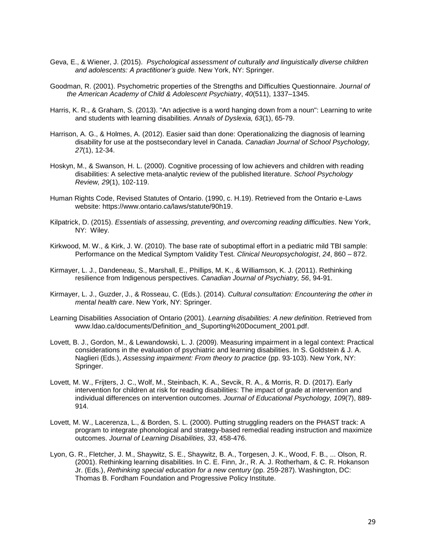- Geva, E., & Wiener, J. (2015). *Psychological assessment of culturally and linguistically diverse children and adolescents: A practitioner's guide.* New York, NY: Springer.
- Goodman, R. (2001). Psychometric properties of the Strengths and Difficulties Questionnaire. *Journal of the American Academy of Child & Adolescent Psychiatry*, *40*(511), 1337–1345.
- Harris, K. R., & Graham, S. (2013). "An adjective is a word hanging down from a noun": Learning to write and students with learning disabilities. *Annals of Dyslexia, 63*(1), 65-79.
- Harrison, A. G., & Holmes, A. (2012). Easier said than done: Operationalizing the diagnosis of learning disability for use at the postsecondary level in Canada. *Canadian Journal of School Psychology, 27*(1), 12-34.
- Hoskyn, M., & Swanson, H. L. (2000). Cognitive processing of low achievers and children with reading disabilities: A selective meta-analytic review of the published literature. *School Psychology Review, 29*(1), 102-119.
- Human Rights Code, Revised Statutes of Ontario. (1990, c. H.19). Retrieved from the Ontario e-Laws website: https://www.ontario.ca/laws/statute/90h19.
- Kilpatrick, D. (2015). *Essentials of assessing, preventing, and overcoming reading difficulties*. New York, NY: Wiley.
- Kirkwood, M. W., & Kirk, J. W. (2010). The base rate of suboptimal effort in a pediatric mild TBI sample: Performance on the Medical Symptom Validity Test. *Clinical Neuropsychologist*, *24*, 860 – 872.
- Kirmayer, L. J., Dandeneau, S., Marshall, E., Phillips, M. K., & Williamson, K. J. (2011). Rethinking resilience from Indigenous perspectives. *Canadian Journal of Psychiatry, 56*, 94-91.
- Kirmayer, L. J., Guzder, J., & Rosseau, C. (Eds.). (2014). *Cultural consultation: Encountering the other in mental health care*. New York, NY: Springer.
- Learning Disabilities Association of Ontario (2001). *Learning disabilities: A new definition*. Retrieved from www.ldao.ca/documents/Definition\_and\_Suporting%20Document\_2001.pdf.
- Lovett, B. J., Gordon, M., & Lewandowski, L. J. (2009). Measuring impairment in a legal context: Practical considerations in the evaluation of psychiatric and learning disabilities. In S. Goldstein & J. A. Naglieri (Eds.), *Assessing impairment: From theory to practice* (pp. 93-103). New York, NY: Springer.
- Lovett, M. W., Frijters, J. C., Wolf, M., Steinbach, K. A., Sevcik, R. A., & Morris, R. D. (2017). Early intervention for children at risk for reading disabilities: The impact of grade at intervention and individual differences on intervention outcomes. *Journal of Educational Psychology, 109*(7), 889- 914.
- Lovett, M. W., Lacerenza, L., & Borden, S. L. (2000). Putting struggling readers on the PHAST track: A program to integrate phonological and strategy-based remedial reading instruction and maximize outcomes. *Journal of Learning Disabilities, 33*, 458-476.
- Lyon, G. R., Fletcher, J. M., Shaywitz, S. E., Shaywitz, B. A., Torgesen, J. K., Wood, F. B., ... Olson, R. (2001). Rethinking learning disabilities. In C. E. Finn, Jr., R. A. J. Rotherham, & C. R. Hokanson Jr. (Eds.), *Rethinking special education for a new century* (pp. 259-287). Washington, DC: Thomas B. Fordham Foundation and Progressive Policy Institute.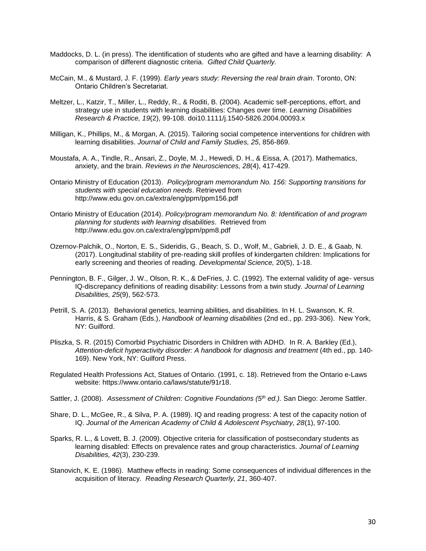- Maddocks, D. L. (in press). The identification of students who are gifted and have a learning disability: A comparison of different diagnostic criteria. *Gifted Child Quarterly.*
- McCain, M., & Mustard, J. F. (1999). *Early years study: Reversing the real brain drain*. Toronto, ON: Ontario Children's Secretariat.
- Meltzer, L., Katzir, T., Miller, L., Reddy, R., & Roditi, B. (2004). Academic self-perceptions, effort, and strategy use in students with learning disabilities: Changes over time. *Learning Disabilities Research & Practice, 19*(2), 99-108. doi10.1111/j.1540-5826.2004.00093.x
- Milligan, K., Phillips, M., & Morgan, A. (2015). Tailoring social competence interventions for children with learning disabilities. *Journal of Child and Family Studies, 25*, 856-869.
- Moustafa, A. A., Tindle, R., Ansari, Z., Doyle, M. J., Hewedi, D. H., & Eissa, A. (2017). Mathematics, anxiety, and the brain. *Reviews in the Neurosciences, 28*(4), 417-429.
- Ontario Ministry of Education (2013). *Policy/program memorandum No. 156: Supporting transitions for students with special education needs*. Retrieved from http://www.edu.gov.on.ca/extra/eng/ppm/ppm156.pdf
- Ontario Ministry of Education (2014). *Policy/program memorandum No. 8: Identification of and program planning for students with learning disabilities*. Retrieved from http://www.edu.gov.on.ca/extra/eng/ppm/ppm8.pdf
- Ozernov‐Palchik, O., Norton, E. S., Sideridis, G., Beach, S. D., Wolf, M., Gabrieli, J. D. E., & Gaab, N. (2017). Longitudinal stability of pre‐reading skill profiles of kindergarten children: Implications for early screening and theories of reading. *Developmental Science,* 20(5), 1-18.
- Pennington, B. F., Gilger, J. W., Olson, R. K., & DeFries, J. C. (1992). The external validity of age- versus IQ-discrepancy definitions of reading disability: Lessons from a twin study. *Journal of Learning Disabilities, 25*(9), 562-573.
- Petrill, S. A. (2013). Behavioral genetics, learning abilities, and disabilities. In H. L. Swanson, K. R. Harris, & S. Graham (Eds.), *Handbook of learning disabilities* (2nd ed., pp. 293-306). New York, NY: Guilford.
- Pliszka, S. R. (2015) Comorbid Psychiatric Disorders in Children with ADHD. In R. A. Barkley (Ed.), *Attention-deficit hyperactivity disorder: A handbook for diagnosis and treatment* (4th ed., pp. 140- 169). New York, NY: Guilford Press.
- Regulated Health Professions Act, Statues of Ontario. (1991, c. 18). Retrieved from the Ontario e-Laws website: https://www.ontario.ca/laws/statute/91r18.
- Sattler, J. (2008). *Assessment of Children: Cognitive Foundations (5th ed.).* San Diego: Jerome Sattler.
- Share, D. L., McGee, R., & Silva, P. A. (1989). IQ and reading progress: A test of the capacity notion of IQ. *Journal of the American Academy of Child & Adolescent Psychiatry, 28*(1), 97-100.
- Sparks, R. L., & Lovett, B. J. (2009). Objective criteria for classification of postsecondary students as learning disabled: Effects on prevalence rates and group characteristics. *Journal of Learning Disabilities, 42*(3), 230-239.
- Stanovich, K. E. (1986). Matthew effects in reading: Some consequences of individual differences in the acquisition of literacy*. Reading Research Quarterly, 21*, 360-407.